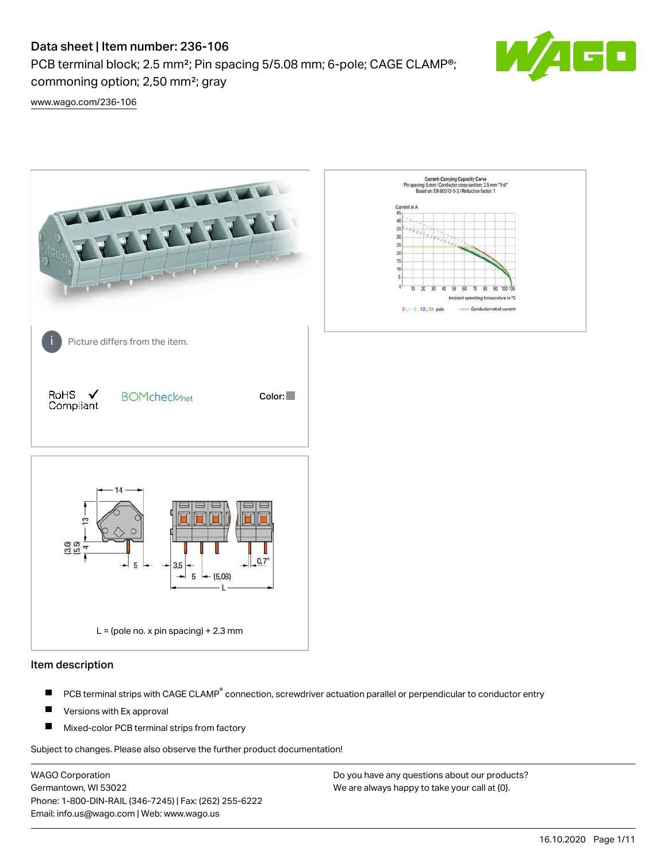PCB terminal block; 2.5 mm<sup>2</sup>; Pin spacing 5/5.08 mm; 6-pole; CAGE CLAMP<sup>®</sup>; commoning option; 2,50 mm²; gray



[www.wago.com/236-106](http://www.wago.com/236-106)



#### Item description

- PCB terminal strips with CAGE CLAMP<sup>®</sup> connection, screwdriver actuation parallel or perpendicular to conductor entry П
- П Versions with Ex approval
- П Mixed-color PCB terminal strips from factory

Subject to changes. Please also observe the further product documentation!

WAGO Corporation Germantown, WI 53022 Phone: 1-800-DIN-RAIL (346-7245) | Fax: (262) 255-6222 Email: info.us@wago.com | Web: www.wago.us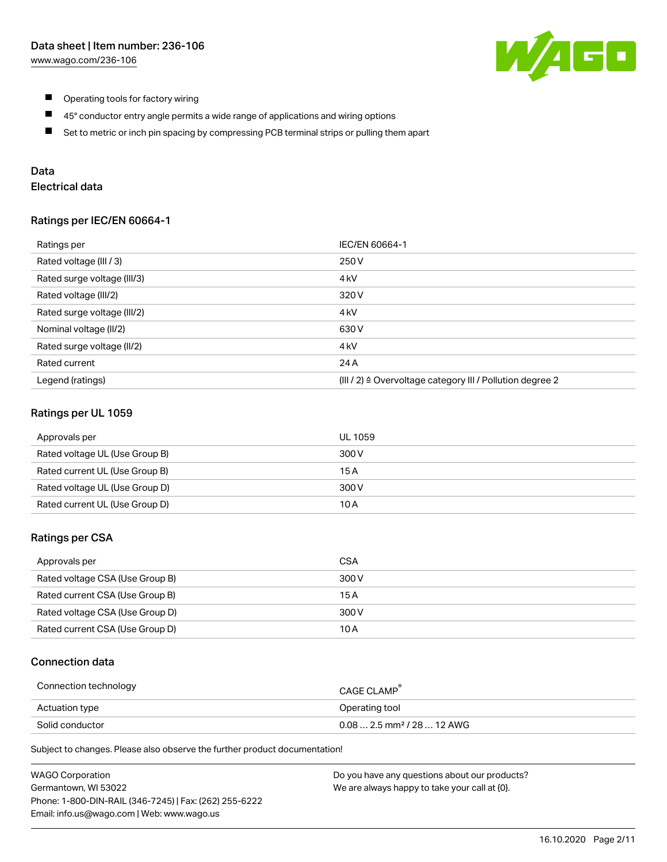

- $\blacksquare$ Operating tools for factory wiring
- $\blacksquare$ 45° conductor entry angle permits a wide range of applications and wiring options
- $\blacksquare$ Set to metric or inch pin spacing by compressing PCB terminal strips or pulling them apart

## Data

# Electrical data

#### Ratings per IEC/EN 60664-1

| Ratings per                 | IEC/EN 60664-1                                                        |
|-----------------------------|-----------------------------------------------------------------------|
| Rated voltage (III / 3)     | 250 V                                                                 |
| Rated surge voltage (III/3) | 4 <sub>k</sub> V                                                      |
| Rated voltage (III/2)       | 320 V                                                                 |
| Rated surge voltage (III/2) | 4 <sub>kV</sub>                                                       |
| Nominal voltage (II/2)      | 630 V                                                                 |
| Rated surge voltage (II/2)  | 4 <sub>k</sub> V                                                      |
| Rated current               | 24 A                                                                  |
| Legend (ratings)            | $(III / 2)$ $\triangle$ Overvoltage category III / Pollution degree 2 |

## Ratings per UL 1059

| Approvals per                  | UL 1059 |
|--------------------------------|---------|
| Rated voltage UL (Use Group B) | 300 V   |
| Rated current UL (Use Group B) | 15 A    |
| Rated voltage UL (Use Group D) | 300 V   |
| Rated current UL (Use Group D) | 10 A    |

## Ratings per CSA

| Approvals per                   | CSA   |
|---------------------------------|-------|
| Rated voltage CSA (Use Group B) | 300 V |
| Rated current CSA (Use Group B) | 15 A  |
| Rated voltage CSA (Use Group D) | 300 V |
| Rated current CSA (Use Group D) | 10 A  |

## Connection data

| Connection technology | CAGE CLAMP                              |
|-----------------------|-----------------------------------------|
| Actuation type        | Operating tool                          |
| Solid conductor       | $0.08$ 2.5 mm <sup>2</sup> / 28  12 AWG |

Subject to changes. Please also observe the further product documentation!

| <b>WAGO Corporation</b>                                | Do you have any questions about our products? |
|--------------------------------------------------------|-----------------------------------------------|
| Germantown, WI 53022                                   | We are always happy to take your call at {0}. |
| Phone: 1-800-DIN-RAIL (346-7245)   Fax: (262) 255-6222 |                                               |
| Email: info.us@wago.com   Web: www.wago.us             |                                               |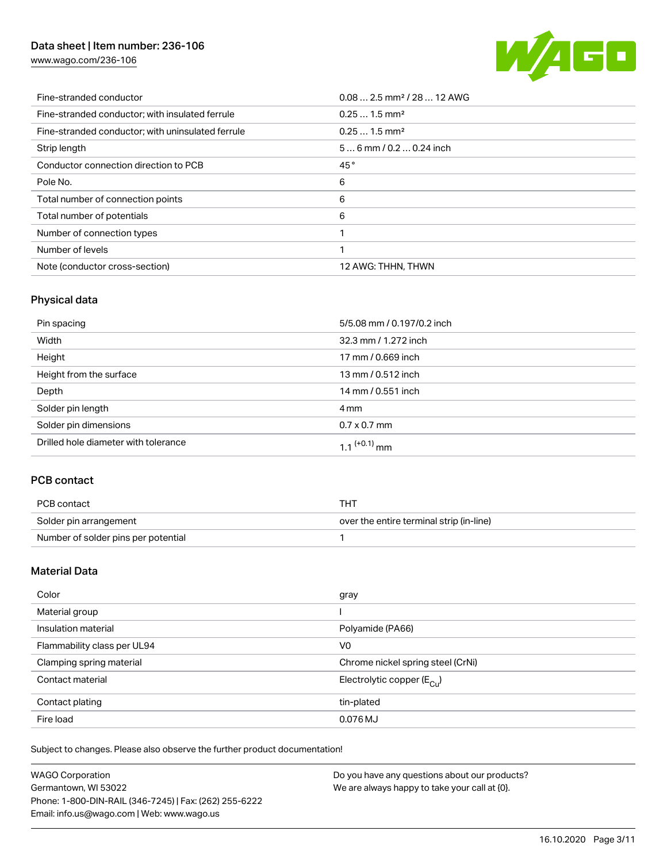[www.wago.com/236-106](http://www.wago.com/236-106)



| Fine-stranded conductor                           | $0.08$ 2.5 mm <sup>2</sup> / 28  12 AWG |
|---------------------------------------------------|-----------------------------------------|
| Fine-stranded conductor; with insulated ferrule   | $0.251.5$ mm <sup>2</sup>               |
| Fine-stranded conductor; with uninsulated ferrule | $0.251.5$ mm <sup>2</sup>               |
| Strip length                                      | $56$ mm $/ 0.20.24$ inch                |
| Conductor connection direction to PCB             | 45°                                     |
| Pole No.                                          | 6                                       |
| Total number of connection points                 | 6                                       |
| Total number of potentials                        | 6                                       |
| Number of connection types                        |                                         |
| Number of levels                                  | ◀                                       |
| Note (conductor cross-section)                    | 12 AWG: THHN, THWN                      |

# Physical data

| Pin spacing                          | 5/5.08 mm / 0.197/0.2 inch |
|--------------------------------------|----------------------------|
| Width                                | 32.3 mm / 1.272 inch       |
| Height                               | 17 mm / 0.669 inch         |
| Height from the surface              | 13 mm / 0.512 inch         |
| Depth                                | 14 mm / 0.551 inch         |
| Solder pin length                    | 4 mm                       |
| Solder pin dimensions                | $0.7 \times 0.7$ mm        |
| Drilled hole diameter with tolerance | $1.1$ <sup>(+0.1)</sup> mm |

# PCB contact

| PCB contact                         | тнт                                      |
|-------------------------------------|------------------------------------------|
| Solder pin arrangement              | over the entire terminal strip (in-line) |
| Number of solder pins per potential |                                          |

# Material Data

| Color                       | gray                                    |
|-----------------------------|-----------------------------------------|
| Material group              |                                         |
| Insulation material         | Polyamide (PA66)                        |
| Flammability class per UL94 | V <sub>0</sub>                          |
| Clamping spring material    | Chrome nickel spring steel (CrNi)       |
| Contact material            | Electrolytic copper ( $E_{\text{Cu}}$ ) |
| Contact plating             | tin-plated                              |
| Fire load                   | 0.076 MJ                                |

Subject to changes. Please also observe the further product documentation!

| <b>WAGO Corporation</b>                                | Do you have any questions about our products? |
|--------------------------------------------------------|-----------------------------------------------|
| Germantown, WI 53022                                   | We are always happy to take your call at {0}. |
| Phone: 1-800-DIN-RAIL (346-7245)   Fax: (262) 255-6222 |                                               |
| Email: info.us@wago.com   Web: www.wago.us             |                                               |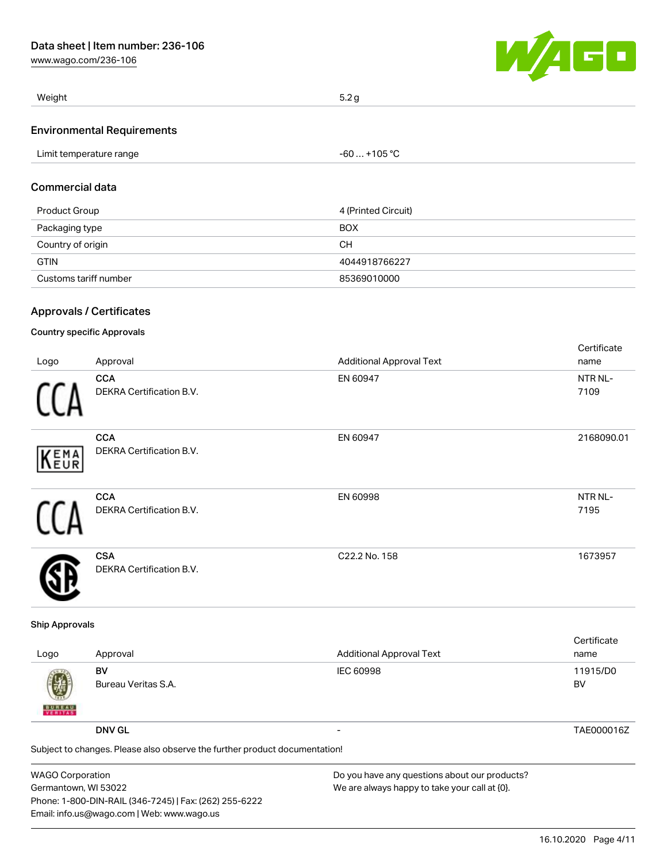[www.wago.com/236-106](http://www.wago.com/236-106)



| Weight                            | 5.2 g        |  |
|-----------------------------------|--------------|--|
| <b>Environmental Requirements</b> |              |  |
| Limit temperature range           | -60  +105 °C |  |

#### Commercial data

| Product Group         | 4 (Printed Circuit) |
|-----------------------|---------------------|
| Packaging type        | <b>BOX</b>          |
| Country of origin     | CН                  |
| <b>GTIN</b>           | 4044918766227       |
| Customs tariff number | 85369010000         |

## Approvals / Certificates

## Country specific Approvals

í.

| Logo | Approval                                      | <b>Additional Approval Text</b> | Certificate<br>name |
|------|-----------------------------------------------|---------------------------------|---------------------|
| f I  | <b>CCA</b><br>DEKRA Certification B.V.        | EN 60947                        | NTR NL-<br>7109     |
| KEMA | <b>CCA</b><br><b>DEKRA Certification B.V.</b> | EN 60947                        | 2168090.01          |
| ſ1   | <b>CCA</b><br><b>DEKRA Certification B.V.</b> | EN 60998                        | NTR NL-<br>7195     |
|      | <b>CSA</b><br><b>DEKRA Certification B.V.</b> | C22.2 No. 158                   | 1673957             |

#### Ship Approvals

| Logo               | Approval                                                                   | <b>Additional Approval Text</b> | Certificate<br>name |
|--------------------|----------------------------------------------------------------------------|---------------------------------|---------------------|
| 國<br><b>BUREAU</b> | BV<br>Bureau Veritas S.A.                                                  | IEC 60998                       | 11915/D0<br>BV      |
|                    | <b>DNV GL</b>                                                              |                                 | TAE000016Z          |
|                    | Subject to changes. Please also observe the further product documentation! |                                 |                     |

| <b>WAGO Corporation</b>                                | Do you have any questions about our products? |
|--------------------------------------------------------|-----------------------------------------------|
| Germantown, WI 53022                                   | We are always happy to take your call at {0}. |
| Phone: 1-800-DIN-RAIL (346-7245)   Fax: (262) 255-6222 |                                               |
| Email: info.us@wago.com   Web: www.wago.us             |                                               |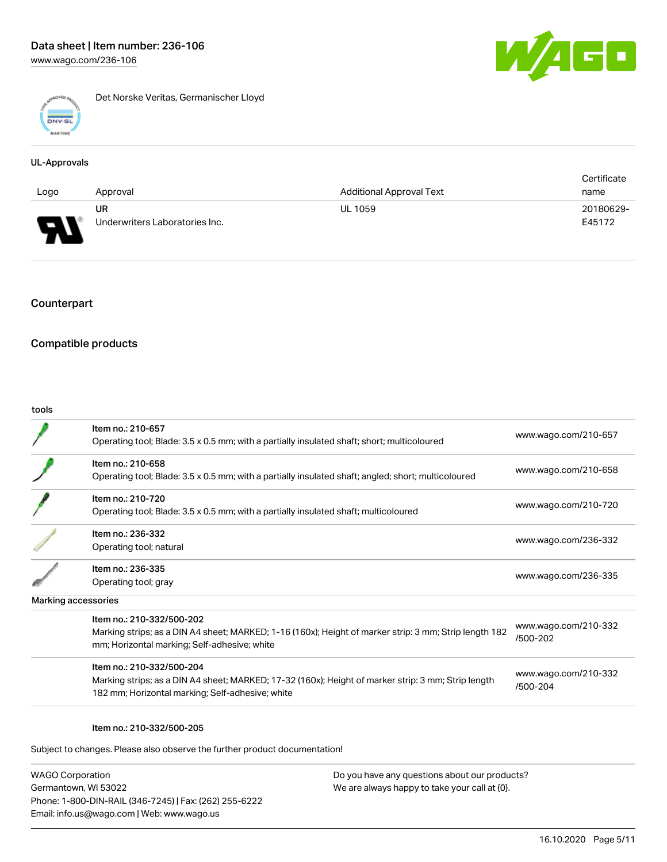

Det Norske Veritas, Germanischer Lloyd

#### UL-Approvals

|                                    |                                |                                 | Certificate |
|------------------------------------|--------------------------------|---------------------------------|-------------|
| Logo                               | Approval                       | <b>Additional Approval Text</b> | name        |
|                                    | UR                             | <b>UL 1059</b>                  | 20180629-   |
| Б<br>▁<br>$\overline{\phantom{a}}$ | Underwriters Laboratories Inc. |                                 | E45172      |

## Counterpart

## Compatible products

#### tools

| www.wago.com/210-657<br>www.wago.com/210-658<br>www.wago.com/210-720                                                                       |
|--------------------------------------------------------------------------------------------------------------------------------------------|
|                                                                                                                                            |
|                                                                                                                                            |
|                                                                                                                                            |
| www.wago.com/236-332                                                                                                                       |
| www.wago.com/236-335                                                                                                                       |
|                                                                                                                                            |
| www.wago.com/210-332<br>Marking strips; as a DIN A4 sheet; MARKED; 1-16 (160x); Height of marker strip: 3 mm; Strip length 182<br>/500-202 |
| www.wago.com/210-332<br>Marking strips; as a DIN A4 sheet; MARKED; 17-32 (160x); Height of marker strip: 3 mm; Strip length<br>/500-204    |
|                                                                                                                                            |

#### Item no.: 210-332/500-205

Subject to changes. Please also observe the further product documentation!

WAGO Corporation Germantown, WI 53022 Phone: 1-800-DIN-RAIL (346-7245) | Fax: (262) 255-6222 Email: info.us@wago.com | Web: www.wago.us

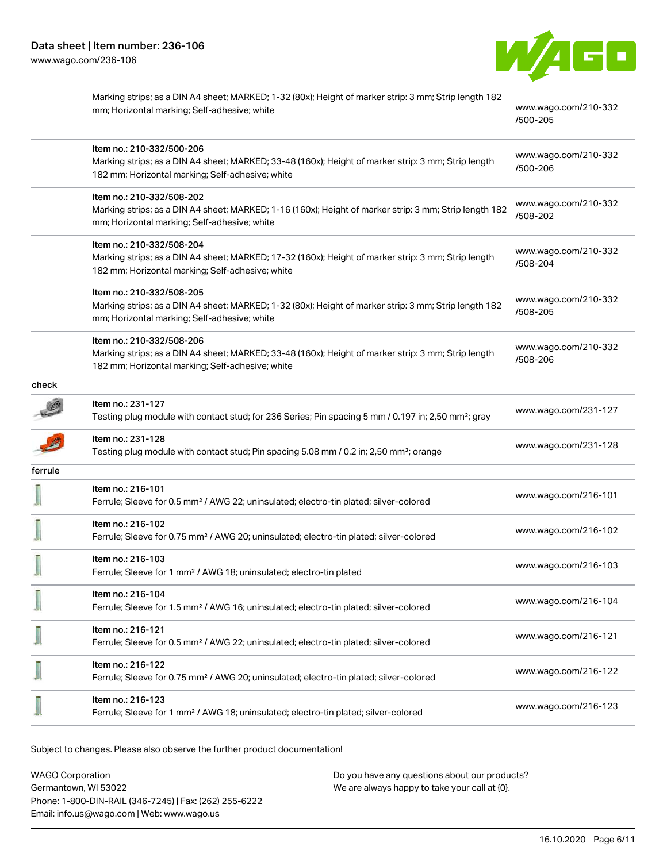

|         | Marking strips; as a DIN A4 sheet; MARKED; 1-32 (80x); Height of marker strip: 3 mm; Strip length 182<br>mm; Horizontal marking; Self-adhesive; white                                | www.wago.com/210-332<br>/500-205 |
|---------|--------------------------------------------------------------------------------------------------------------------------------------------------------------------------------------|----------------------------------|
|         | Item no.: 210-332/500-206<br>Marking strips; as a DIN A4 sheet; MARKED; 33-48 (160x); Height of marker strip: 3 mm; Strip length<br>182 mm; Horizontal marking; Self-adhesive; white | www.wago.com/210-332<br>/500-206 |
|         | Item no.: 210-332/508-202<br>Marking strips; as a DIN A4 sheet; MARKED; 1-16 (160x); Height of marker strip: 3 mm; Strip length 182<br>mm; Horizontal marking; Self-adhesive; white  | www.wago.com/210-332<br>/508-202 |
|         | Item no.: 210-332/508-204<br>Marking strips; as a DIN A4 sheet; MARKED; 17-32 (160x); Height of marker strip: 3 mm; Strip length<br>182 mm; Horizontal marking; Self-adhesive; white | www.wago.com/210-332<br>/508-204 |
|         | Item no.: 210-332/508-205<br>Marking strips; as a DIN A4 sheet; MARKED; 1-32 (80x); Height of marker strip: 3 mm; Strip length 182<br>mm; Horizontal marking; Self-adhesive; white   | www.wago.com/210-332<br>/508-205 |
|         | Item no.: 210-332/508-206<br>Marking strips; as a DIN A4 sheet; MARKED; 33-48 (160x); Height of marker strip: 3 mm; Strip length<br>182 mm; Horizontal marking; Self-adhesive; white | www.wago.com/210-332<br>/508-206 |
| check   |                                                                                                                                                                                      |                                  |
|         | Item no.: 231-127<br>Testing plug module with contact stud; for 236 Series; Pin spacing 5 mm / 0.197 in; 2,50 mm <sup>2</sup> ; gray                                                 | www.wago.com/231-127             |
|         | Item no.: 231-128<br>Testing plug module with contact stud; Pin spacing 5.08 mm / 0.2 in; 2,50 mm <sup>2</sup> ; orange                                                              | www.wago.com/231-128             |
| ferrule |                                                                                                                                                                                      |                                  |
|         | Item no.: 216-101<br>Ferrule; Sleeve for 0.5 mm <sup>2</sup> / AWG 22; uninsulated; electro-tin plated; silver-colored                                                               | www.wago.com/216-101             |
|         | Item no.: 216-102<br>Ferrule; Sleeve for 0.75 mm <sup>2</sup> / AWG 20; uninsulated; electro-tin plated; silver-colored                                                              | www.wago.com/216-102             |
|         | Item no.: 216-103<br>Ferrule; Sleeve for 1 mm <sup>2</sup> / AWG 18; uninsulated; electro-tin plated                                                                                 | www.wago.com/216-103             |
|         | Item no.: 216-104<br>Ferrule; Sleeve for 1.5 mm <sup>2</sup> / AWG 16; uninsulated; electro-tin plated; silver-colored                                                               | www.wago.com/216-104             |
|         | Item no.: 216-121<br>Ferrule; Sleeve for 0.5 mm <sup>2</sup> / AWG 22; uninsulated; electro-tin plated; silver-colored                                                               | www.wago.com/216-121             |
|         | Item no.: 216-122<br>Ferrule; Sleeve for 0.75 mm <sup>2</sup> / AWG 20; uninsulated; electro-tin plated; silver-colored                                                              | www.wago.com/216-122             |
|         | Item no.: 216-123<br>Ferrule; Sleeve for 1 mm <sup>2</sup> / AWG 18; uninsulated; electro-tin plated; silver-colored                                                                 | www.wago.com/216-123             |

Subject to changes. Please also observe the further product documentation!

WAGO Corporation Germantown, WI 53022 Phone: 1-800-DIN-RAIL (346-7245) | Fax: (262) 255-6222 Email: info.us@wago.com | Web: www.wago.us Do you have any questions about our products? We are always happy to take your call at {0}.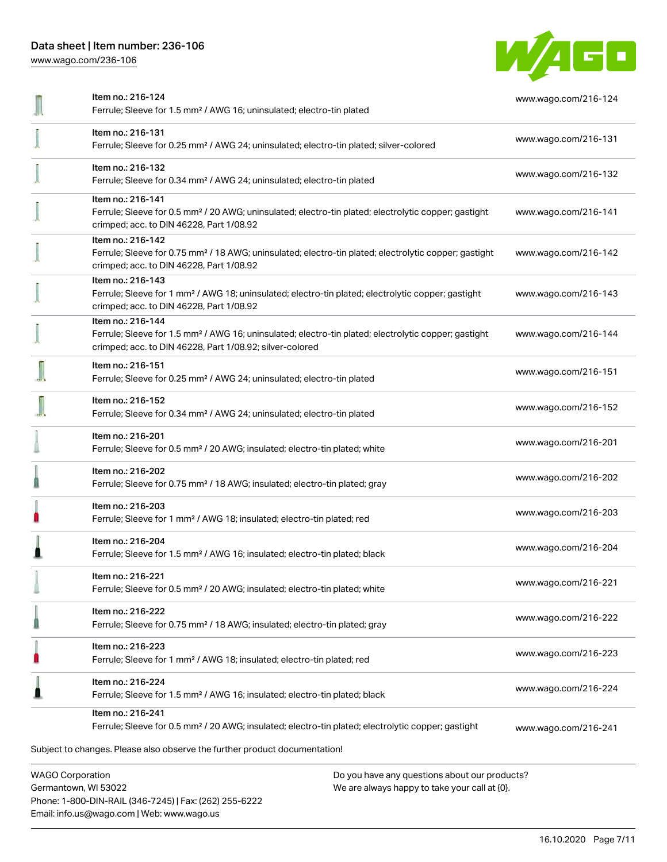Phone: 1-800-DIN-RAIL (346-7245) | Fax: (262) 255-6222

Email: info.us@wago.com | Web: www.wago.us

[www.wago.com/236-106](http://www.wago.com/236-106)



| Item no.: 216-124<br>Ferrule; Sleeve for 1.5 mm <sup>2</sup> / AWG 16; uninsulated; electro-tin plated                                                                                            | www.wago.com/216-124 |
|---------------------------------------------------------------------------------------------------------------------------------------------------------------------------------------------------|----------------------|
| Item no.: 216-131<br>Ferrule; Sleeve for 0.25 mm <sup>2</sup> / AWG 24; uninsulated; electro-tin plated; silver-colored                                                                           | www.wago.com/216-131 |
| Item no.: 216-132<br>Ferrule; Sleeve for 0.34 mm <sup>2</sup> / AWG 24; uninsulated; electro-tin plated                                                                                           | www.wago.com/216-132 |
| Item no.: 216-141<br>Ferrule; Sleeve for 0.5 mm <sup>2</sup> / 20 AWG; uninsulated; electro-tin plated; electrolytic copper; gastight<br>crimped; acc. to DIN 46228, Part 1/08.92                 | www.wago.com/216-141 |
| Item no.: 216-142<br>Ferrule; Sleeve for 0.75 mm <sup>2</sup> / 18 AWG; uninsulated; electro-tin plated; electrolytic copper; gastight<br>crimped; acc. to DIN 46228, Part 1/08.92                | www.wago.com/216-142 |
| Item no.: 216-143<br>Ferrule; Sleeve for 1 mm <sup>2</sup> / AWG 18; uninsulated; electro-tin plated; electrolytic copper; gastight<br>crimped; acc. to DIN 46228, Part 1/08.92                   | www.wago.com/216-143 |
| Item no.: 216-144<br>Ferrule; Sleeve for 1.5 mm <sup>2</sup> / AWG 16; uninsulated; electro-tin plated; electrolytic copper; gastight<br>crimped; acc. to DIN 46228, Part 1/08.92; silver-colored | www.wago.com/216-144 |
| Item no.: 216-151<br>Ferrule; Sleeve for 0.25 mm <sup>2</sup> / AWG 24; uninsulated; electro-tin plated                                                                                           | www.wago.com/216-151 |
| Item no.: 216-152<br>Ferrule; Sleeve for 0.34 mm <sup>2</sup> / AWG 24; uninsulated; electro-tin plated                                                                                           | www.wago.com/216-152 |
| Item no.: 216-201<br>Ferrule; Sleeve for 0.5 mm <sup>2</sup> / 20 AWG; insulated; electro-tin plated; white                                                                                       | www.wago.com/216-201 |
| Item no.: 216-202<br>Ferrule; Sleeve for 0.75 mm <sup>2</sup> / 18 AWG; insulated; electro-tin plated; gray                                                                                       | www.wago.com/216-202 |
| Item no.: 216-203<br>Ferrule; Sleeve for 1 mm <sup>2</sup> / AWG 18; insulated; electro-tin plated; red                                                                                           | www.wago.com/216-203 |
| Item no.: 216-204<br>Ferrule; Sleeve for 1.5 mm <sup>2</sup> / AWG 16; insulated; electro-tin plated; black                                                                                       | www.wago.com/216-204 |
| Item no.: 216-221<br>Ferrule; Sleeve for 0.5 mm <sup>2</sup> / 20 AWG; insulated; electro-tin plated; white                                                                                       | www.wago.com/216-221 |
| Item no.: 216-222<br>Ferrule; Sleeve for 0.75 mm <sup>2</sup> / 18 AWG; insulated; electro-tin plated; gray                                                                                       | www.wago.com/216-222 |
| Item no.: 216-223<br>Ferrule; Sleeve for 1 mm <sup>2</sup> / AWG 18; insulated; electro-tin plated; red                                                                                           | www.wago.com/216-223 |
| Item no.: 216-224<br>Ferrule; Sleeve for 1.5 mm <sup>2</sup> / AWG 16; insulated; electro-tin plated; black                                                                                       | www.wago.com/216-224 |
| Item no.: 216-241<br>Ferrule; Sleeve for 0.5 mm <sup>2</sup> / 20 AWG; insulated; electro-tin plated; electrolytic copper; gastight                                                               | www.wago.com/216-241 |
| Subject to changes. Please also observe the further product documentation!                                                                                                                        |                      |
| <b>WAGO Corporation</b><br>Do you have any questions about our products?<br>Germantown, WI 53022<br>We are always happy to take your call at {0}.                                                 |                      |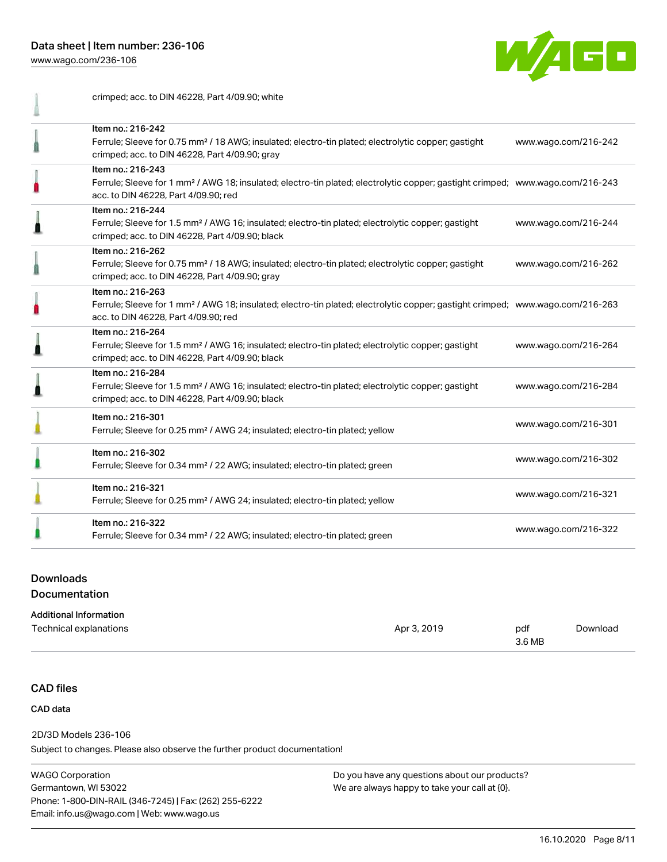crimped; acc. to DIN 46228, Part 4/09.90; white

[www.wago.com/236-106](http://www.wago.com/236-106)



| Item no.: 216-242<br>Ferrule; Sleeve for 0.75 mm <sup>2</sup> / 18 AWG; insulated; electro-tin plated; electrolytic copper; gastight<br>crimped; acc. to DIN 46228, Part 4/09.90; gray                  | www.wago.com/216-242 |
|---------------------------------------------------------------------------------------------------------------------------------------------------------------------------------------------------------|----------------------|
| Item no.: 216-243<br>Ferrule; Sleeve for 1 mm <sup>2</sup> / AWG 18; insulated; electro-tin plated; electrolytic copper; gastight crimped; www.wago.com/216-243<br>acc. to DIN 46228, Part 4/09.90; red |                      |
| Item no.: 216-244<br>Ferrule; Sleeve for 1.5 mm <sup>2</sup> / AWG 16; insulated; electro-tin plated; electrolytic copper; gastight<br>crimped; acc. to DIN 46228, Part 4/09.90; black                  | www.wago.com/216-244 |
| Item no.: 216-262<br>Ferrule; Sleeve for 0.75 mm <sup>2</sup> / 18 AWG; insulated; electro-tin plated; electrolytic copper; gastight<br>crimped; acc. to DIN 46228, Part 4/09.90; gray                  | www.wago.com/216-262 |
| Item no.: 216-263<br>Ferrule; Sleeve for 1 mm <sup>2</sup> / AWG 18; insulated; electro-tin plated; electrolytic copper; gastight crimped; www.wago.com/216-263<br>acc. to DIN 46228, Part 4/09.90; red |                      |
| Item no.: 216-264<br>Ferrule; Sleeve for 1.5 mm <sup>2</sup> / AWG 16; insulated; electro-tin plated; electrolytic copper; gastight<br>crimped; acc. to DIN 46228, Part 4/09.90; black                  | www.wago.com/216-264 |
| Item no.: 216-284<br>Ferrule; Sleeve for 1.5 mm <sup>2</sup> / AWG 16; insulated; electro-tin plated; electrolytic copper; gastight<br>crimped; acc. to DIN 46228, Part 4/09.90; black                  | www.wago.com/216-284 |
| Item no.: 216-301<br>Ferrule; Sleeve for 0.25 mm <sup>2</sup> / AWG 24; insulated; electro-tin plated; yellow                                                                                           | www.wago.com/216-301 |
| Item no.: 216-302<br>Ferrule; Sleeve for 0.34 mm <sup>2</sup> / 22 AWG; insulated; electro-tin plated; green                                                                                            | www.wago.com/216-302 |
| Item no.: 216-321<br>Ferrule; Sleeve for 0.25 mm <sup>2</sup> / AWG 24; insulated; electro-tin plated; yellow                                                                                           | www.wago.com/216-321 |
| Item no.: 216-322<br>Ferrule; Sleeve for 0.34 mm <sup>2</sup> / 22 AWG; insulated; electro-tin plated; green                                                                                            | www.wago.com/216-322 |

## Downloads

#### Documentation

#### Additional Information

| Technical explanations | Apr 3, 2019 | pdf    | Download |
|------------------------|-------------|--------|----------|
|                        |             | 3.6 MB |          |

## CAD files

#### CAD data

2D/3D Models 236-106

Subject to changes. Please also observe the further product documentation!

WAGO Corporation Germantown, WI 53022 Phone: 1-800-DIN-RAIL (346-7245) | Fax: (262) 255-6222 Email: info.us@wago.com | Web: www.wago.us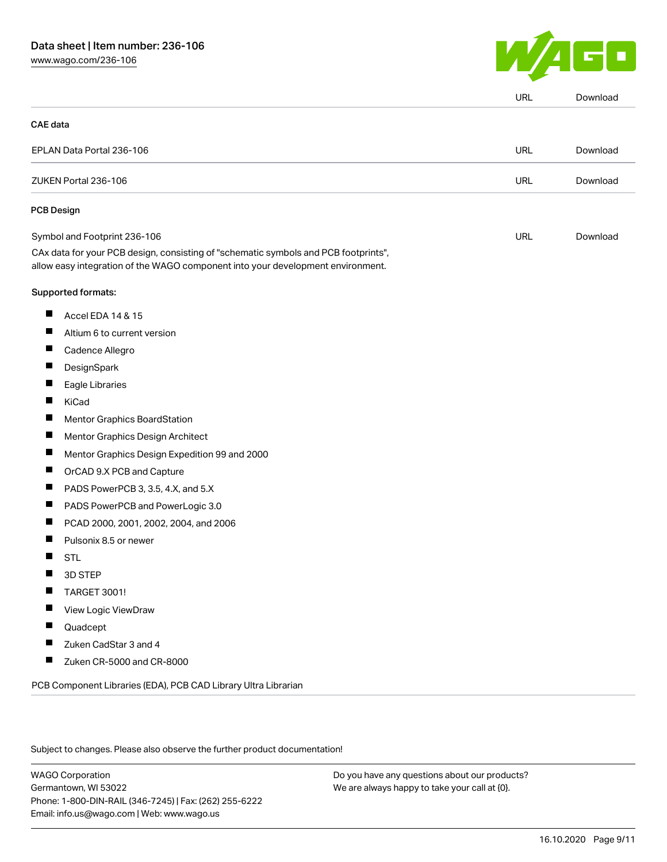[www.wago.com/236-106](http://www.wago.com/236-106)



|                                                                                                                                                                        | URL | Download |
|------------------------------------------------------------------------------------------------------------------------------------------------------------------------|-----|----------|
| <b>CAE</b> data                                                                                                                                                        |     |          |
| EPLAN Data Portal 236-106                                                                                                                                              | URL | Download |
| ZUKEN Portal 236-106                                                                                                                                                   | URL | Download |
| <b>PCB Design</b>                                                                                                                                                      |     |          |
| Symbol and Footprint 236-106                                                                                                                                           | URL | Download |
| CAx data for your PCB design, consisting of "schematic symbols and PCB footprints",<br>allow easy integration of the WAGO component into your development environment. |     |          |
| Supported formats:                                                                                                                                                     |     |          |
| $\blacksquare$<br>Accel EDA 14 & 15                                                                                                                                    |     |          |
| ш<br>Altium 6 to current version                                                                                                                                       |     |          |
| Ш<br>Cadence Allegro                                                                                                                                                   |     |          |
| DesignSpark                                                                                                                                                            |     |          |
| ш<br>Eagle Libraries                                                                                                                                                   |     |          |
| П<br>KiCad                                                                                                                                                             |     |          |
| Mentor Graphics BoardStation                                                                                                                                           |     |          |
| ш<br>Mentor Graphics Design Architect                                                                                                                                  |     |          |
| ш<br>Mentor Graphics Design Expedition 99 and 2000                                                                                                                     |     |          |
| OrCAD 9.X PCB and Capture                                                                                                                                              |     |          |
| ш<br>PADS PowerPCB 3, 3.5, 4.X, and 5.X                                                                                                                                |     |          |
| ш<br>PADS PowerPCB and PowerLogic 3.0                                                                                                                                  |     |          |
| PCAD 2000, 2001, 2002, 2004, and 2006                                                                                                                                  |     |          |
| Pulsonix 8.5 or newer<br>Ш                                                                                                                                             |     |          |
| <b>STL</b><br>ш                                                                                                                                                        |     |          |
| 3D STEP<br>ш                                                                                                                                                           |     |          |
| <b>TARGET 3001!</b>                                                                                                                                                    |     |          |
| View Logic ViewDraw                                                                                                                                                    |     |          |
| H.<br>Quadcept                                                                                                                                                         |     |          |
| Zuken CadStar 3 and 4<br>ш                                                                                                                                             |     |          |
| $\blacksquare$<br>Zuken CR-5000 and CR-8000                                                                                                                            |     |          |
| PCB Component Libraries (EDA), PCB CAD Library Ultra Librarian                                                                                                         |     |          |

Subject to changes. Please also observe the further product documentation!

WAGO Corporation Germantown, WI 53022 Phone: 1-800-DIN-RAIL (346-7245) | Fax: (262) 255-6222 Email: info.us@wago.com | Web: www.wago.us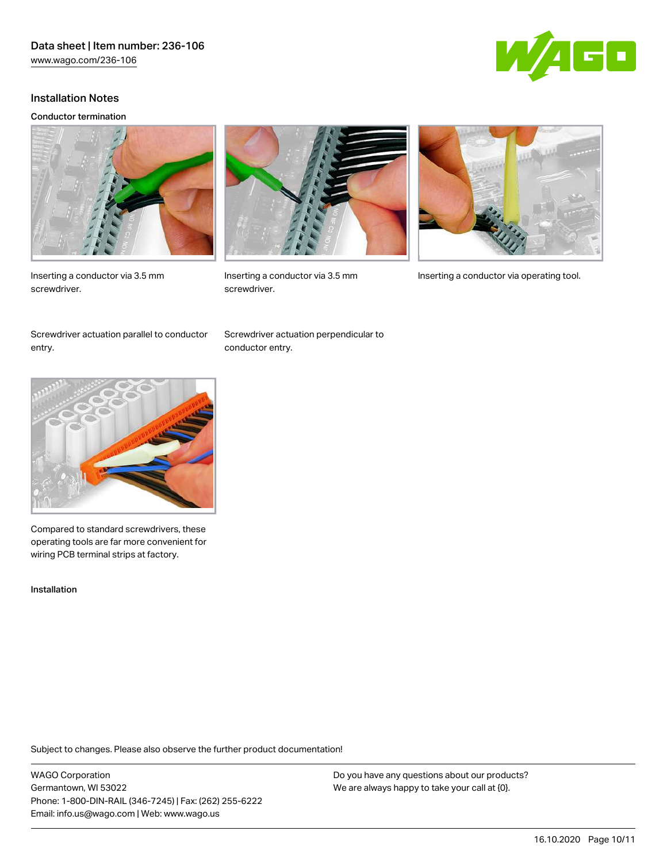

#### Installation Notes

#### Conductor termination







screwdriver.



Inserting a conductor via 3.5 mm Inserting a conductor via operating tool.

Screwdriver actuation parallel to conductor entry.

Screwdriver actuation perpendicular to conductor entry.



Compared to standard screwdrivers, these operating tools are far more convenient for wiring PCB terminal strips at factory.

Installation

Subject to changes. Please also observe the further product documentation!

WAGO Corporation Germantown, WI 53022 Phone: 1-800-DIN-RAIL (346-7245) | Fax: (262) 255-6222 Email: info.us@wago.com | Web: www.wago.us